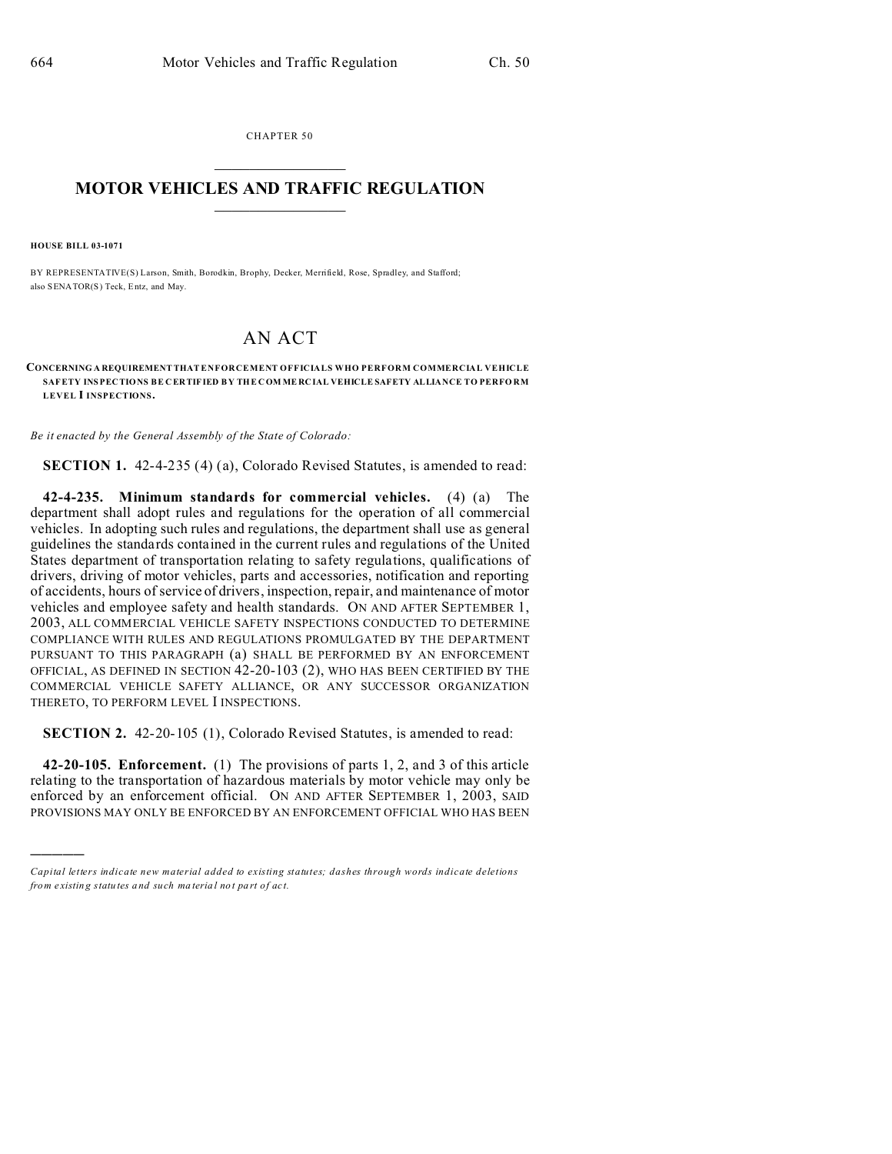CHAPTER 50  $\overline{\phantom{a}}$  , where  $\overline{\phantom{a}}$ 

## **MOTOR VEHICLES AND TRAFFIC REGULATION**  $\frac{1}{2}$  ,  $\frac{1}{2}$  ,  $\frac{1}{2}$  ,  $\frac{1}{2}$  ,  $\frac{1}{2}$  ,  $\frac{1}{2}$  ,  $\frac{1}{2}$

**HOUSE BILL 03-1071**

)))))

BY REPRESENTATIVE(S) Larson, Smith, Borodkin, Brophy, Decker, Merrifield, Rose, Spradley, and Stafford; also SENATOR(S) Teck, Entz, and May.

## AN ACT

**CONCERNING A REQUIREMENT THAT ENFORCEMENT OFFICIALS WHO PERFORM COMMERCIAL VEHICLE SAFETY INSPEC TIONS BE C ER TIFIED BY THE COM ME RCIAL VEHICLE SAFETY ALLIANCE TO PERFO RM LEVEL I INSPECTIONS.**

*Be it enacted by the General Assembly of the State of Colorado:*

**SECTION 1.** 42-4-235 (4) (a), Colorado Revised Statutes, is amended to read:

**42-4-235. Minimum standards for commercial vehicles.** (4) (a) The department shall adopt rules and regulations for the operation of all commercial vehicles. In adopting such rules and regulations, the department shall use as general guidelines the standards contained in the current rules and regulations of the United States department of transportation relating to safety regulations, qualifications of drivers, driving of motor vehicles, parts and accessories, notification and reporting of accidents, hours of service of drivers, inspection, repair, and maintenance of motor vehicles and employee safety and health standards. ON AND AFTER SEPTEMBER 1, 2003, ALL COMMERCIAL VEHICLE SAFETY INSPECTIONS CONDUCTED TO DETERMINE COMPLIANCE WITH RULES AND REGULATIONS PROMULGATED BY THE DEPARTMENT PURSUANT TO THIS PARAGRAPH (a) SHALL BE PERFORMED BY AN ENFORCEMENT OFFICIAL, AS DEFINED IN SECTION 42-20-103 (2), WHO HAS BEEN CERTIFIED BY THE COMMERCIAL VEHICLE SAFETY ALLIANCE, OR ANY SUCCESSOR ORGANIZATION THERETO, TO PERFORM LEVEL I INSPECTIONS.

**SECTION 2.** 42-20-105 (1), Colorado Revised Statutes, is amended to read:

**42-20-105. Enforcement.** (1) The provisions of parts 1, 2, and 3 of this article relating to the transportation of hazardous materials by motor vehicle may only be enforced by an enforcement official. ON AND AFTER SEPTEMBER 1, 2003, SAID PROVISIONS MAY ONLY BE ENFORCED BY AN ENFORCEMENT OFFICIAL WHO HAS BEEN

*Capital letters indicate new material added to existing statutes; dashes through words indicate deletions from e xistin g statu tes a nd such ma teria l no t pa rt of ac t.*